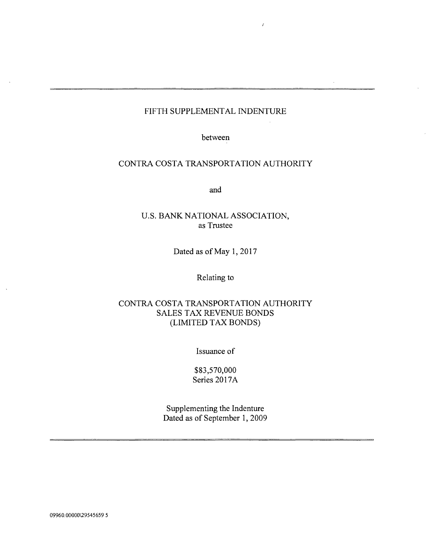### FIFTH SUPPLEMENTAL INDENTURE

 $\lambda$ 

between

# CONTRA COSTA TRANSPORTATION AUTHORITY

and

# U.S. BANK NATIONAL ASSOCIATION, as Trustee

Dated as of May 1, 2017

### Relating to

# CONTRA COSTA TRANSPORTATION AUTHORITY SALES TAX REVENUE BONDS (LIMITED TAX BONDS)

Issuance of

\$83,570,000 Series 2017A

Supplementing the Indenture Dated as of September 1, 2009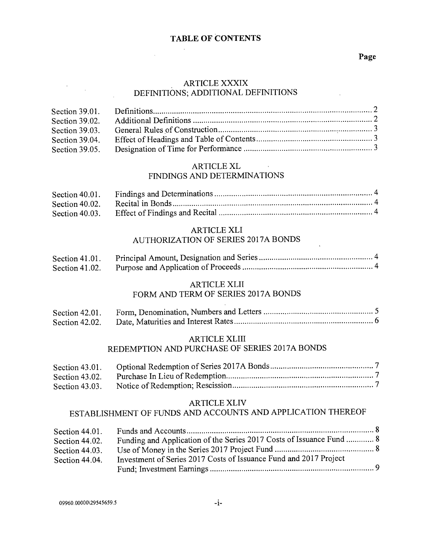# TABLE OF CONTENTS

#### Page

### ARTICLE XXXIX DEFINITIONS; ADDITIONAL DEFINITIONS

| Section 39.01. |  |
|----------------|--|
| Section 39.02. |  |
| Section 39.03. |  |
| Section 39.04. |  |
| Section 39.05. |  |

# ARTICLE XL

# FINDINGS AND DETERMINATIONS

| Section $40.01$ . |  |
|-------------------|--|
| Section 40.02.    |  |
| Section 40.03.    |  |

# ARTICLE XLI AUTHORIZATION OF SERIES 2017A BONDS

| Section 41.01.    |  |
|-------------------|--|
| Section $41.02$ . |  |

# ARTICLE XLII

## FORM AND TERM OF SERIES 2017A BONDS

| Section 42.01. |  |
|----------------|--|
| Section 42.02. |  |

#### ARTICLE XLIII

### REDEMPTION AND PURCHASE OF SERIES 2017A BONDS

| Section $43.01$ . |  |
|-------------------|--|
| Section 43.02.    |  |
| Section 43.03.    |  |

#### ARTICLE XLIV

# ESTABLISHMENT OF FUNDS AND ACCOUNTS AND APPLICATION THEREOF

| Section $44.01$ . |                                                                      |
|-------------------|----------------------------------------------------------------------|
| Section 44.02.    | Funding and Application of the Series 2017 Costs of Issuance Fund  8 |
|                   |                                                                      |
| Section 44.03.    |                                                                      |
| Section 44.04.    | Investment of Series 2017 Costs of Issuance Fund and 2017 Project    |
|                   |                                                                      |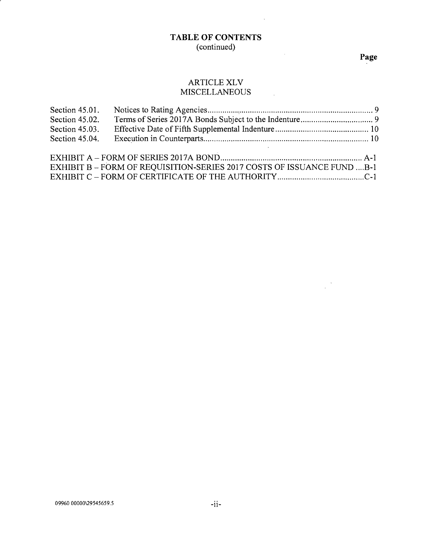# TABLE OF CONTENTS (continued)

 $\sim 100$ 

 $\label{eq:2.1} \frac{1}{\sqrt{2}}\left(\frac{1}{\sqrt{2}}\right)^{2} \left(\frac{1}{\sqrt{2}}\right)^{2} \left(\frac{1}{\sqrt{2}}\right)^{2}$ 

# Page

 $\frac{1}{2} \sum_{i=1}^{n} \frac{1}{i} \sum_{j=1}^{n}$ 

# ARTICLE XLV<br>IISCELLANEOUS **MISCELLANEOUS**

| Section 45.01.<br>Section 45.02.<br>Section 45.03.<br>Section 45.04. |                                                                        |  |
|----------------------------------------------------------------------|------------------------------------------------------------------------|--|
|                                                                      | EXHIBIT B - FORM OF REQUISITION-SERIES 2017 COSTS OF ISSUANCE FUND B-1 |  |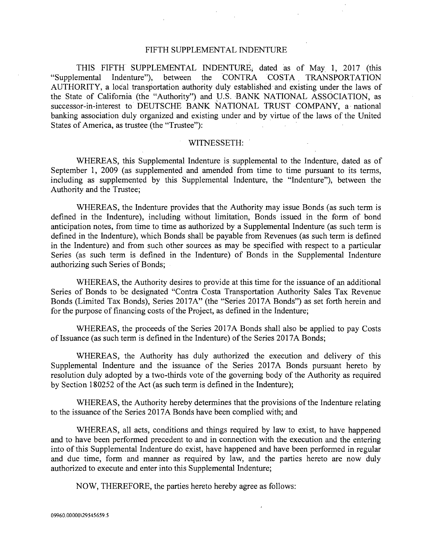#### FIFTH SUPPLEMENTAL INDENTURE

THIS FIFTH SUPPLEMENTAL INDENTURE, dated as of May 1, 2017 (this "Supplemental Indenture"), between the CONTRA COSTA TRANSPORTATION AUTHORITY, a local transportation authority duly established and existing under the laws of the State of California (the "Authority") and V.S. BANK NATIONAL ASSOCIATION, as successor -in -interest to DEUTSCHE BANK NATIONAL TRUST COMPANY, a national banking association duly organized and existing under and by virtue of the laws of the United States of America, as trustee (the "Trustee"):

#### WITNESSETH:

WHEREAS, this Supplemental Indenture is supplemental to the Indenture, dated as of September 1, 2009 (as supplemented and amended from time to time pursuant to its terms, including as supplemented by this Supplemental Indenture, the "Indenture"), between the Authority and the Trustee;

WHEREAS, the Indenture provides that the Authority may issue Bonds (as such term is defined in the Indenture), including without limitation, Bonds issued in the form of bond anticipation notes, from time to time as authorized by a Supplemental Indenture (as such term is defined in the Indenture), which Bonds shall be payable from Revenues (as such term is defined in the Indenture) and from such other sources as may be specified with respect to a particular Series (as such term is defined in the Indenture) of Bonds in the Supplemental Indenture authorizing such Series of Bonds;

WHEREAS, the Authority desires to provide at this time for the issuance of an additional Series of Bonds to be designated "Contra Costa Transportation Authority Sales Tax Revenue Bonds (Limited Tax Bonds), Series 2017A" (the "Series 2017A Bonds") as set forth herein and for the purpose of financing costs of the Project, as defined in the Indenture;

WHEREAS, the proceeds of the Series 2017A Bonds shall also be applied to pay Costs of Issuance (as such term is defined in the Indenture) of the Series 2017A Bonds;

WHEREAS, the Authority has duly authorized the execution and delivery of this Supplemental Indenture and the issuance of the Series 2017A Bonds pursuant hereto by resolution duly adopted by a two-thirds vote of the governing body of the Authority as required by Section 180252 of the Act (as such term is defined in the Indenture);

WHEREAS, the Authority hereby determines that the provisions of the Indenture relating to the issuance of the Series 2017A Bonds have been complied with; and

WHEREAS, all acts, conditions and things required by law to exist, to have happened and to have been performed precedent to and in connection with the execution and the entering into of this Supplemental Indenture do exist, have happened and have been performed in regular and due time, form and manner as required by law, and the parties hereto are now duly authorized to execute and enter into this Supplemental Indenture;

NOW, THEREFORE, the parties hereto hereby agree as follows: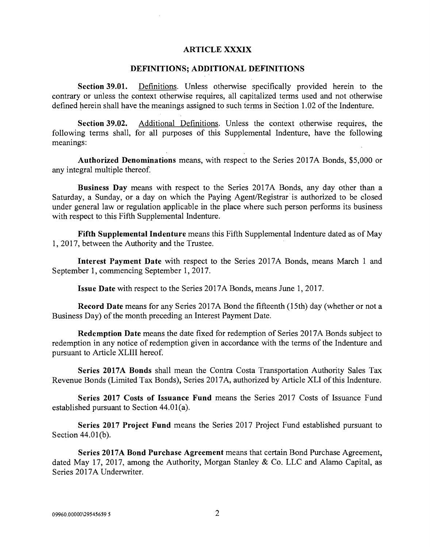#### ARTICLE XXXIX

#### DEFINITIONS; ADDITIONAL DEFINITIONS

Section 39.01. Definitions. Unless otherwise specifically provided herein to the contrary or unless the context otherwise requires, all capitalized terms used and not otherwise defined herein shall have the meanings assigned to such terms in Section 1.02 of the Indenture.

Section 39.02. Additional Definitions. Unless the context otherwise requires, the following terms shall, for all purposes of this Supplemental Indenture, have the following meanings:

Authorized Denominations means, with respect to the Series 2017A Bonds, \$5,000 or any integral multiple thereof

Business Day means with respect to the Series 2017A Bonds, any day other than a Saturday, a Sunday, or a day on which the Paying Agent/Registrar is authorized to be closed under general law or regulation applicable in the place where such person performs its business with respect to this Fifth Supplemental Indenture.

Fifth Supplemental Indenture means this Fifth Supplemental Indenture dated as of May 1, 2017, between the Authority and the Trustee.

Interest Payment Date with respect to the Series 2017A Bonds, means March 1 and September 1, commencing September 1, 2017.

Issue Date with respect to the Series 2017A Bonds, means June 1, 2017.

Record Date means for any Series 2017A Bond the fifteenth (15th) day (whether or not a Business Day) of the month preceding an Interest Payment Date.

Redemption Date means the date fixed for redemption of Series 2017A Bonds subject to redemption in any notice of redemption given in accordance with the terms of the Indenture and pursuant to Article XLIII hereof.

Series 2017A Bonds shall mean the Contra Costa Transportation Authority Sales Tax Revenue Bonds (Limited Tax Bonds), Series 2017A, authorized by Article XLI of this Indenture.

Series 2017 Costs of Issuance Fund means the Series 2017 Costs of Issuance Fund established pursuant to Section 44.01(a).

Series 2017 Project Fund means the Series 2017 Project Fund established pursuant to Section 44.01(b).

Series 2017A Bond Purchase Agreement means that certain Bond Purchase Agreement, dated May 17, 2017, among the Authority, Morgan Stanley & Co. LLC and Alamo Capital, as Series 2017A Underwriter.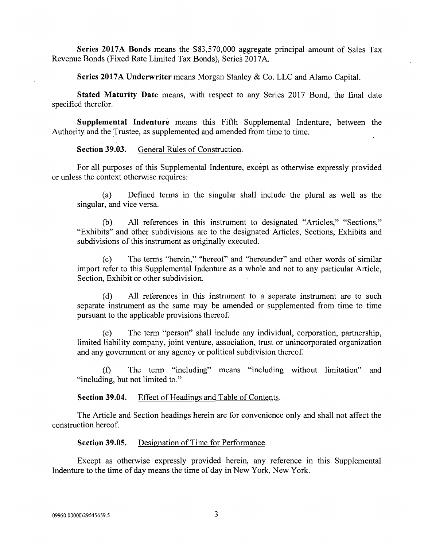Series 2017A Bonds means the \$83,570,000 aggregate principal amount of Sales Tax Revenue Bonds (Fixed Rate Limited Tax Bonds), Series 2017A.

Series 2017A Underwriter means Morgan Stanley & Co. LLC and Alamo Capital.

Stated Maturity Date means, with respect to any Series 2017 Bond, the final date specified therefor.

Supplemental Indenture means this Fifth Supplemental Indenture, between the Authority and the Trustee, as supplemented and amended from time to time.

Section 39.03. General Rules of Construction.

For all purposes of this Supplemental Indenture, except as otherwise expressly provided or unless the context otherwise requires:

(a) Defined terms in the singular shall include the plural as well as the singular, and vice versa.

(b) All references in this instrument to designated "Articles," "Sections," "Exhibits" and other subdivisions are to the designated Articles, Sections, Exhibits and subdivisions of this instrument as originally executed.

(c) The terms "herein," "hereof" and "hereunder" and other words of similar import refer to this Supplemental Indenture as a whole and not to any particular Article, Section, Exhibit or other subdivision.

(d) All references in this instrument to a separate instrument are to such separate instrument as the same may be amended or supplemented from time to time pursuant to the applicable provisions thereof.

(e) The term "person" shall include any individual, corporation, partnership, limited liability company, joint venture, association, trust or unincorporated organization and any government or any agency or political subdivision thereof.

(f) The term "including" means "including without limitation" and "including, but not limited to."

Section 39.04. Effect of Headings and Table of Contents.

The Article and Section headings herein are for convenience only and shall not affect the construction hereof

Section 39.05. Designation of Time for Performance.

Except as otherwise expressly provided herein, any reference in this Supplemental Indenture to the time of day means the time of day in New York, New York.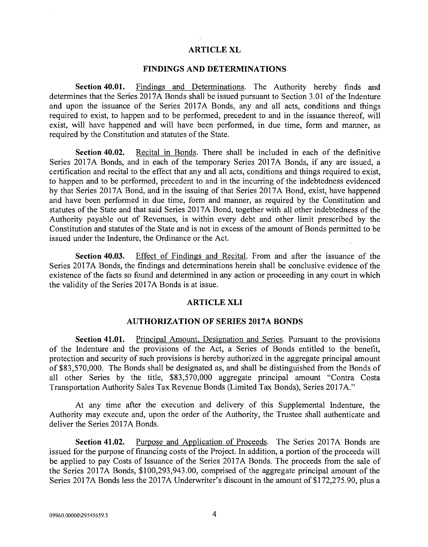#### ARTICLE XL

#### FINDINGS AND DETERMINATIONS

Section 40.01. Findings and Determinations. The Authority hereby finds and determines that the Series 20I7A Bonds shall be issued pursuant to Section 3.01 of the Indenture and upon the issuance of the Series 2017A Bonds, any and all acts, conditions and things required to exist, to happen and to be performed, precedent to and in the issuance thereof, will exist, will have happened and will have been performed, in due time, form and manner, as required by the Constitution and statutes of the State.

Section 40.02. Recital in Bonds. There shall be included in each of the definitive Series 2017A Bonds, and in each of the temporary Series 2017A Bonds, if any are issued, a certification and recital to the effect that any and all acts, conditions and things required to exist, to happen and to be performed, precedent to and in the incurring of the indebtedness evidenced by that Series 2017A Bond, and in the issuing of that Series 2017A Bond, exist, have happened and have been performed in due time, form and manner, as required by the Constitution and statutes of the State and that said Series 2017A Bond, together with all other indebtedness of the Authority payable out of Revenues, is within every debt and other limit prescribed by the Constitution and statutes of the State and is not in excess of the amount of Bonds permitted to be issued under the Indenture, the Ordinance or the Act.

Section 40.03. Effect of Findings and Recital. From and after the issuance of the Series 2017A Bonds, the findings and determinations herein shall be conclusive evidence of the existence of the facts so found and determined in any action or proceeding in any court in which the validity of the Series 2017A Bonds is at issue.

#### ARTICLE XLI

#### AUTHORIZATION OF SERIES 2017A BONDS

Section 41.01. Principal Amount, Designation and Series. Pursuant to the provisions of the Indenture and the provisions of the Act, a Series of Bonds entitled to the benefit, protection and security of such provisions is hereby authorized in the aggregate principal amount of \$83,570,000. The Bonds shall be designated as, and shall be distinguished from the Bonds of all other Series by the title, \$83,570,000 aggregate principal amount "Contra Costa Transportation Authority Sales Tax Revenue Bonds (Limited Tax Bonds), Series 2017A."

At any time after the execution and delivery of this Supplemental Indenture, the Authority may execute and, upon the order of the Authority, the Trustee shall authenticate and deliver the Series 2017A Bonds.

Section 41.02. Purpose and Application of Proceeds. The Series 2017A Bonds are issued for the purpose of financing costs of the Project. In addition, a portion of the proceeds will be applied to pay Costs of Issuance of the Series 2017A Bonds. The proceeds from the sale of the Series 2017A Bonds, \$100,293,943.00, comprised of the aggregate principal amount of the Series 2017A Bonds less the 2017A Underwriter's discount in the amount of \$172,275.90, plus a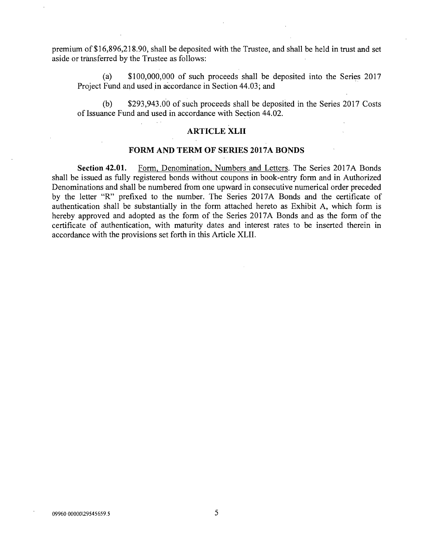premium of \$16,896,218.90, shall be deposited with the Trustee, and shall be held in trust and set aside or transferred by the Trustee as follows:

(a) \$100,000,000 of such proceeds shall be deposited into the Series 2017 Project Fund and used in accordance in Section 44.03; and

(b) \$293,943.00 of such proceeds shall be deposited in the Series 2017 Costs of Issuance Fund and used in accordance with Section 44.02.

#### ARTICLE XLII

#### FORM AND TERM OF SERIES 2017A BONDS

Section 42.01. Form, Denomination, Numbers and Letters. The Series 2017A Bonds shall be issued as fully registered bonds without coupons in book -entry form and in Authorized Denominations and shall be numbered from one upward in consecutive numerical order preceded by the letter "R" prefixed to the number. The Series 2017A Bonds and the certificate of authentication shall be substantially in the form attached hereto as Exhibit A, which form is hereby approved and adopted as the form of the Series 2017A Bonds and as the form of the certificate of authentication, with maturity dates and interest rates to be inserted therein in accordance with the provisions set forth in this Article XLII.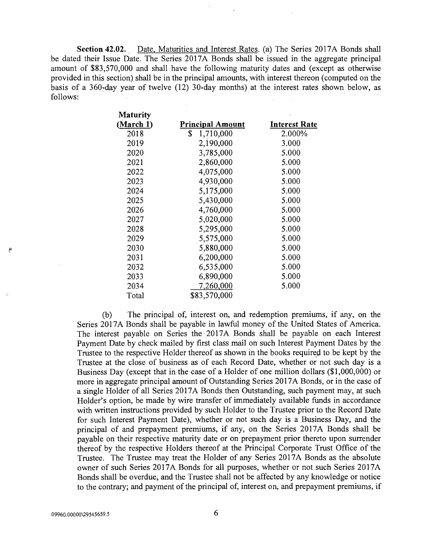Section 42.02. Date, Maturities and Interest Rates. (a) The Series 2017A Bonds shall be dated their Issue Date. The Series 2017A Bonds shall be issued in the aggregate principal amount of \$83,570,000 and shall have the following maturity dates and (except as otherwise provided in this section) shall be in the principal amounts, with interest thereon (computed on the basis of a 360 -day year of twelve (12) 30 -day months) at the interest rates shown below, as follows:

Maturity

| <b>Niaturity</b> |                         |                      |
|------------------|-------------------------|----------------------|
| (March 1)        | <b>Principal Amount</b> | <b>Interest Rate</b> |
| 2018             | \$<br>1,710,000         | 2.000%               |
| 2019             | 2,190,000               | 3.000                |
| 2020             | 3,785,000               | 5.000                |
| 2021             | 2,860,000               | 5.000                |
| 2022             | 4,075,000               | 5.000                |
| 2023             | 4,930,000               | 5.000                |
| 2024             | 5,175,000               | 5.000                |
| 2025             | 5,430,000               | 5.000                |
| 2026             | 4,760,000               | 5.000                |
| 2027             | 5,020,000               | 5.000                |
| 2028             | 5,295,000               | 5.000                |
| 2029             | 5,575,000               | 5.000                |
| 2030             | 5,880,000               | 5.000                |
| 2031             | 6,200,000               | 5.000                |
| 2032             | 6,535,000               | 5.000                |
| 2033             | 6,890,000               | 5.000                |
| 2034             | 7,260,000               | 5.000                |
| Total            | \$83,570,000            |                      |
|                  |                         |                      |

(b) The principal of, interest on, and redemption premiums, if any, on the Series 2017A Bonds shall be payable in lawful money of the United States of America. The interest payable on Series the 2017A Bonds shall be payable on each Interest Payment Date by check mailed by first class mail on such Interest Payment Dates by the Trustee to the respective Holder thereof as shown in the books required to be kept by the Trustee at the close of business as of each Record Date, whether or not such day is a Business Day (except that in the case of a Holder of one million dollars (\$1,000,000) or more in aggregate principal amount of Outstanding Series 2017A Bonds, or in the case of a single Holder of all Series 2017A Bonds then Outstanding, such payment may, at such Holder's option, be made by wire transfer of immediately available funds in accordance with written instructions provided by such Holder to the Trustee prior to the Record Date for such Interest Payment Date), whether or not such day is a Business Day, and the principal of and prepayment premiums, if any, on the Series 2017A Bonds shall be payable on their respective maturity date or on prepayment prior thereto upon surrender thereof by the respective Holders thereof at the Principal Corporate Trust Office of the Trustee. The Trustee may treat the Holder of any Series 2017A Bonds as the absolute owner of such Series 2017A Bonds for all purposes, whether or not such Series 2017A Bonds shall be overdue, and the Trustee shall not be affected by any knowledge or notice to the contrary; and payment of the principal of, interest on, and prepayment premiums, if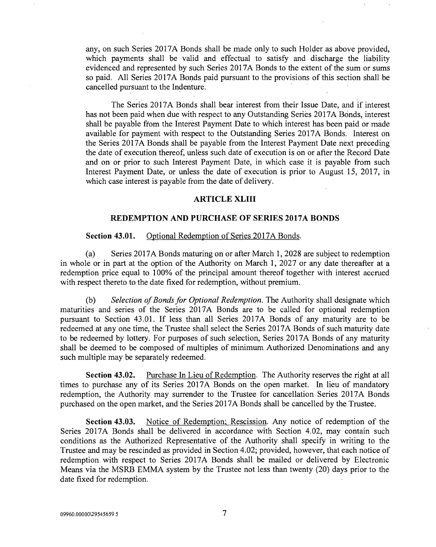any, on such Series 2017A Bonds shall be made only to such Holder as above provided, which payments shall be valid and effectual to satisfy and discharge the liability evidenced and represented by such Series 2017A Bonds to the extent of the sum or sums so paid. All Series 2017A Bonds paid pursuant to the provisions of this section shall be cancelled pursuant to the Indenture.

The Series 2017A Bonds shall bear interest from their Issue Date, and if interest has not been paid when due with respect to any Outstanding Series 2017A Bonds, interest shall be payable from the Interest Payment Date to which interest has been paid or made available for payment with respect to the Outstanding Series 2017A Bonds. Interest on the Series 2017A Bonds shall be payable from the Interest Payment Date next preceding the date of execution thereof, unless such date of execution is on or after the Record Date and on or prior to such Interest Payment Date, in which case it is payable from such Interest Payment Date, or unless the date of execution is prior to August 15, 2017, in which case interest is payable from the date of delivery.

#### ARTICLE XLIII

#### REDEMPTION AND PURCHASE OF SERIES 2017A BONDS

#### Section 43.01. Optional Redemption of Series 2017A Bonds.

(a) Series 2017A Bonds maturing on or after March 1, 2028 are subject to redemption in whole or in part at the option of the Authority on March 1, 2027 or any date thereafter at a redemption price equal to 100% of the principal amount thereof together with interest accrued with respect thereto to the date fixed for redemption, without premium.

(b) Selection of Bonds for Optional Redemption. The Authority shall designate which maturities and series of the Series 2017A Bonds are to be called for optional redemption pursuant to Section 43.01. If less than all Series 2017A Bonds of any maturity are to be redeemed at any one time, the Trustee shall select the Series 2017A Bonds of such maturity date to be redeemed by lottery. For purposes of such selection, Series 2017A Bonds of any maturity shall be deemed to be composed of multiples of minimum Authorized Denominations and any such multiple may be separately redeemed.

Section 43.02. Purchase In Lieu of Redemption. The Authority reserves the right at all times to purchase any of its Series 2017A Bonds on the open market. In lieu of mandatory redemption, the Authority may surrender to the Trustee for cancellation Series 2017A Bonds purchased on the open market, and the Series 2017A Bonds shall be cancelled by the Trustee.

Section 43.03. Notice of Redemption; Rescission. Any notice of redemption of the Series 2017A Bonds shall be delivered in accordance with Section 4.02, may contain such conditions as the Authorized Representative of the Authority shall specify in writing to the Trustee and may be rescinded as provided in Section 4.02; provided, however, that each notice of redemption with respect to Series 2017A Bonds shall be mailed or delivered by Electronic Means via the MSRB EMMA system by the Trustee not less than twenty (20) days prior to the date fixed for redemption.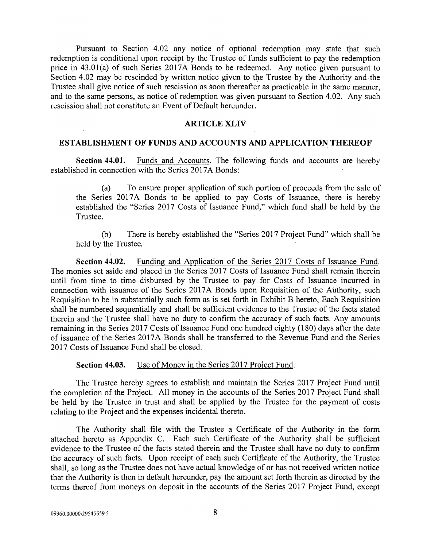Pursuant to Section 4.02 any notice of optional redemption may state that such redemption is conditional upon receipt by the Trustee of funds sufficient to pay the redemption price in 43.01(a) of such Series 2017A Bonds to be redeemed. Any notice given pursuant to Section 4.02 may be rescinded by written notice given to the Trustee by the Authority and the Trustee shall give notice of such rescission as soon thereafter as practicable in the same manner, and to the same persons, as notice of redemption was given pursuant to Section 4.02. Any such rescission shall not constitute an Event of Default hereunder.

#### ARTICLE XLIV

#### ESTABLISHMENT OF FUNDS AND ACCOUNTS AND APPLICATION THEREOF

Section 44.01. Funds and Accounts. The following funds and accounts are hereby established in connection with the Series 2017A Bonds:

(a) To ensure proper application of such portion of proceeds from the sale of the Series 2017A Bonds to be applied to pay Costs of Issuance, there is hereby established the "Series 2017 Costs of Issuance Fund," which fund shall be held by the Trustee.

(b) There is hereby established the "Series 2017 Project Fund" which shall be held by the Trustee.

Section 44.02. Funding and Application of the Series 2017 Costs of Issuance Fund. The monies set aside and placed in the Series 2017 Costs of Issuance Fund shall remain therein until from time to time disbursed by the Trustee to pay for Costs of Issuance incurred in connection with issuance of the Series 2017A Bonds upon Requisition of the Authority, such Requisition to be in substantially such form as is set forth in Exhibit B hereto, Each Requisition shall be numbered sequentially and shall be sufficient evidence to the Trustee of the facts stated therein and the Trustee shall have no duty to confirm the accuracy of such facts. Any amounts remaining in the Series 2017 Costs of Issuance Fund one hundred eighty (180) days after the date of issuance of the Series 2017A Bonds shall be transferred to the Revenue Fund and the Series 2017 Costs of Issuance Fund shall be closed.

#### Section 44.03. Use of Money in the Series 2017 Project Fund.

The Trustee hereby agrees to establish and maintain the Series 2017 Project Fund until the completion of the Project. All money in the accounts of the Series 2017 Project Fund shall be held by the Trustee in trust and shall be applied by the Trustee for the payment of costs relating to the Project and the expenses incidental thereto.

The Authority shall file with the Trustee a Certificate of the Authority in the form attached hereto as Appendix C. Each such Certificate of the Authority shall be sufficient evidence to the Trustee of the facts stated therein and the Trustee shall have no duty to confirm the accuracy of such facts. Upon receipt of each such Certificate of the Authority, the Trustee shall, so long as the Trustee does not have actual knowledge of or has not received written notice that the Authority is then in default hereunder, pay the amount set forth therein as directed by the terms thereof from moneys on deposit in the accounts of the Series 2017 Project Fund, except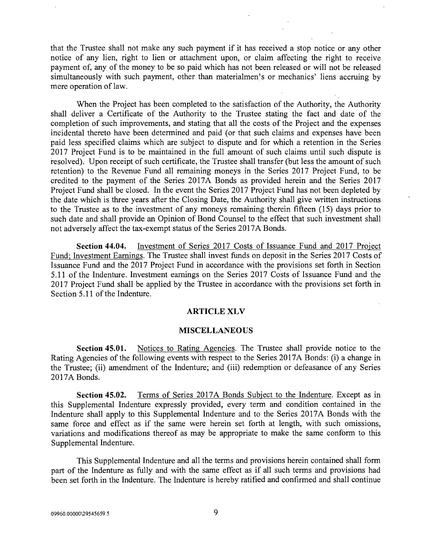that the Trustee shall not make any such payment if it has received a stop notice or any other notice of any lien, right to lien or attachment upon, or claim affecting the right to receive payment of, any of the money to be so paid which has not been released or will not be released simultaneously with such payment, other than materialmen's or mechanics' liens accruing by mere operation of law.

When the Project has been completed to the satisfaction of the Authority, the Authority shall deliver a Certificate of the Authority to the Trustee stating the fact and date of the completion of such improvements, and stating that all the costs of the Project and the expenses incidental thereto have been determined and paid (or that such claims and expenses have been paid less specified claims which are subject to dispute and for which a retention in the Series 2017 Project Fund is to be maintained in the full amount of such claims until such dispute is resolved). Upon receipt of such certificate, the Trustee shall transfer (but less the amount of such retention) to the Revenue Fund all remaining moneys in the Series 2017 Project Fund, to be credited to the payment of the Series 2017A Bonds as provided herein and the Series 2017 Project Fund shall be closed. In the event the Series 2017 Project Fund has not been depleted by the date which is three years after the Closing Date, the Authority shall give written instructions to the Trustee as to the investment of any moneys remaining therein fifteen (15) days prior to such date and shall provide an Opinion of Bond Counsel to the effect that such investment shall not adversely affect the tax-exempt status of the Series 2017A Bonds.

Section 44.04. Investment of Series 2017 Costs of Issuance Fund and 2017 Project Fund; Investment Earnings. The Trustee shall invest funds on deposit in the Series 2017 Costs of Issuance Fund and the 2017 Project Fund in accordance with the provisions set forth in Section 5.11 of the Indenture. Investment earnings on the Series 2017 Costs of Issuance Fund and the 2017 Project Fund shall be applied by the Trustee in accordance with the provisions set forth in Section 5.11 of the Indenture.

#### ARTICLE XLV

#### MISCELLANEOUS

Section 45.01. Notices to Rating Agencies. The Trustee shall provide notice to the Rating Agencies of the following events with respect to the Series 2017A Bonds: (i) a change in the Trustee; (ii) amendment of the Indenture; and (iii) redemption or defeasance of any Series 2017A Bonds.

Section 45.02. Terms of Series 2017A Bonds Subject to the Indenture. Except as in this Supplemental Indenture expressly provided, every term and condition contained in the Indenture shall apply to this Supplemental Indenture and to the Series 2017A Bonds with the same force and effect as if the same were herein set forth at length, with such omissions, variations and modifications thereof as may be appropriate to make the same conform to this Supplemental Indenture.

This Supplemental Indenture and all the terms and provisions herein contained shall form part of the Indenture as fully and with the same effect as if all such terms and provisions had been set forth in the Indenture. The Indenture is hereby ratified and confirmed and shall continue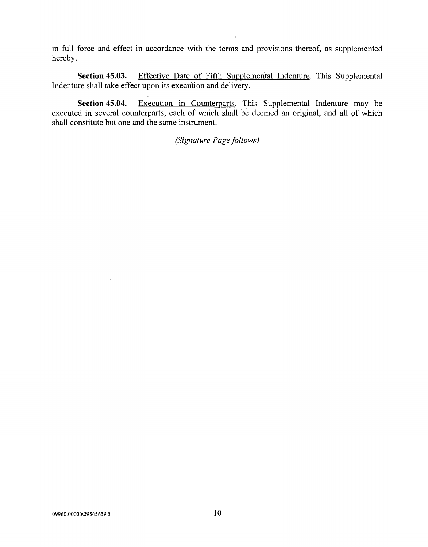in full force and effect in accordance with the terms and provisions thereof, as supplemented hereby.

Section 45.03. Effective Date of Fifth Supplemental Indenture. This Supplemental Indenture shall take effect upon its execution and delivery.

Section 45.04. Execution in Counterparts. This Supplemental Indenture may be executed in several counterparts, each of which shall be deemed an original, and all of which shall constitute but one and the same instrument.

(Signature Page follows)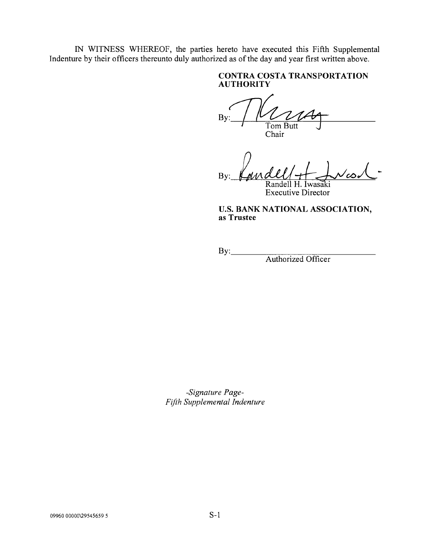IN WITNESS WHEREOF, the parties hereto have executed this Fifth Supplemental Indenture by their officers thereunto duly authorized as of the day and year first written above.

# CONTRA COSTA TRANSPORTATION AUTHORITY

B٧ Tom Butt Chair

By: H. Iwasaki

Executive Director

U.S. BANK NATIONAL ASSOCIATION, as Trustee

By:

Authorized Officer

-Signature Page-Fifth Supplemental Indenture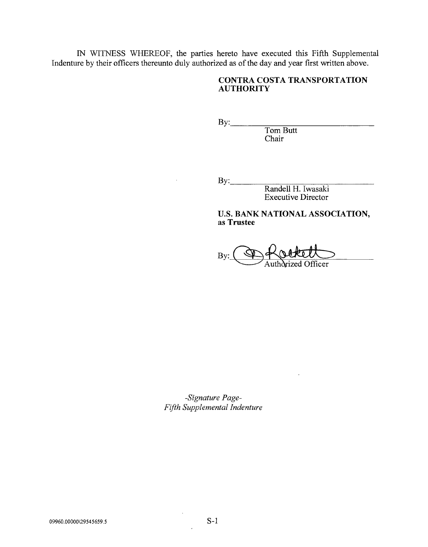IN WITNESS WHEREOF, the parties hereto have executed this Fifth Supplemental Indenture by their officers thereunto duly authorized as of the day and year first written above.

# CONTRA COSTA TRANSPORTATION **AUTHORITY**

By: Tom Butt Chair

**By:\_\_** 

Randell H. Iwasaki Executive Director

U.S. BANK NATIONAL ASSOCIATION, as Trustee

By: Officer

-Signature Page-Fifth Supplemental Indenture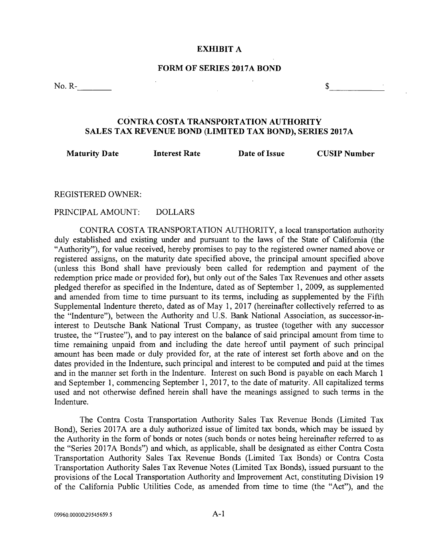#### EXHIBIT A

#### FORM OF SERIES 2017A BOND

No. R-

 $\mathbb{S}$ 

# CONTRA COSTA TRANSPORTATION AUTHORITY SALES TAX REVENUE BOND (LIMITED TAX BOND), SERIES 2017A

Maturity Date Interest Rate

Date of Issue CUSIP Number

REGISTERED OWNER:

PRINCIPAL AMOUNT: DOLLARS

CONTRA COSTA TRANSPORTATION AUTHORITY, a local transportation authority duly established and existing under and pursuant to the laws of the State of California (the "Authority"), for value received, hereby promises to pay to the registered owner named above or registered assigns, on the maturity date specified above, the principal amount specified above (unless this Bond shall have previously been called for redemption and payment of the redemption price made or provided for), but only out of the Sales Tax Revenues and other assets pledged therefor as specified in the Indenture, dated as of September 1, 2009, as supplemented and amended from time to time pursuant to its terms, including as supplemented by the Fifth Supplemental Indenture thereto, dated as of May 1, 2017 (hereinafter collectively referred to as the "Indenture"), between the Authority and U.S. Bank National Association, as successor-ininterest to Deutsche Bank National Trust Company, as trustee (together with any successor trustee, the "Trustee"), and to pay interest on the balance of said principal amount from time to time remaining unpaid from and including the date hereof until payment of such principal amount has been made or duly provided for, at the rate of interest set forth above and on the dates provided in the Indenture, such principal and interest to be computed and paid at the times and in the manner set forth in the Indenture. Interest on such Bond is payable on each March 1 and September 1, commencing September 1, 2017, to the date of maturity. All capitalized terms used and not otherwise defined herein shall have the meanings assigned to such terms in the Indenture.

The Contra Costa Transportation Authority Sales Tax Revenue Bonds (Limited Tax Bond), Series 2017A are a duly authorized issue of limited tax bonds, which may be issued by the Authority in the form of bonds or notes (such bonds or notes being hereinafter referred to as the "Series 2017A Bonds") and which, as applicable, shall be designated as either Contra Costa Transportation Authority Sales Tax Revenue Bonds (Limited Tax Bonds) or Contra Costa Transportation Authority Sales Tax Revenue Notes (Limited Tax Bonds), issued pursuant to the provisions of the Local Transportation Authority and Improvement Act, constituting Division 19 of the California Public Utilities Code, as amended from time to time (the "Act"), and the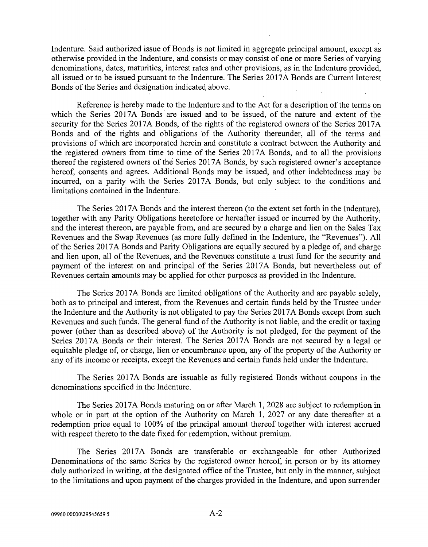Indenture. Said authorized issue of Bonds is not limited in aggregate principal amount, except as otherwise provided in the Indenture, and consists or may consist of one or more Series of varying denominations, dates, maturities, interest rates and other provisions, as in the Indenture provided, all issued or to be issued pursuant to the Indenture. The Series 2017A Bonds are Current Interest Bonds of the Series and designation indicated above.

Reference is hereby made to the Indenture and to the Act for a description of the terms on which the Series 2017A Bonds are issued and to be issued, of the nature and extent of the security for the Series 2017A Bonds, of the rights of the registered owners of the Series 2017A Bonds and of the rights and obligations 'of the Authority thereunder, all of the terms and provisions of which are incorporated herein and constitute a contract between the Authority and the registered owners from time to time of the Series 2017A Bonds, and to all the provisions thereof the registered owners of the Series 2017A Bonds, by such registered owner's acceptance hereof, consents and agrees. Additional Bonds may be issued, and other indebtedness may be incurred, on a parity with the Series 2017A Bonds, but only subject to the conditions and limitations contained in the Indenture.

The Series 2017A Bonds and the interest thereon (to the extent set forth in the Indenture), together with any Parity Obligations heretofore or hereafter issued or incurred by the Authority, and the interest thereon, are payable from, and are secured by a charge and lien on the Sales Tax Revenues and the Swap Revenues (as more fully defined in the Indenture, the "Revenues"). All of the Series 2017A Bonds and Parity Obligations are equally secured by a pledge of, and charge and lien upon, all of the Revenues, and the Revenues constitute a trust fund for the security and payment of the interest on and principal of the Series 2017A Bonds, but nevertheless out of Revenues certain amounts may be applied for other purposes as provided in the Indenture.

The Series 2017A Bonds are limited obligations of the Authority and are payable solely, both as to principal and interest, from the Revenues and certain funds held by the Trustee under the Indenture and the Authority is not obligated to pay the Series 2017A Bonds except from such Revenues and such funds. The general fund of the Authority is not liable, and the credit or taxing power (other than as described above) of the Authority is not pledged, for the payment of the Series 2017A Bonds or their interest. The Series 2017A Bonds are not secured by a legal or equitable pledge of, or charge, lien or encumbrance upon, any of the property of the Authority or any of its income or receipts, except the Revenues and certain funds held under the Indenture.

The Series 2017A Bonds are issuable as fully registered Bonds without coupons in the denominations specified in the Indenture.

The Series 2017A Bonds maturing on or after March 1, 2028 are subject to redemption in whole or in part at the option of the Authority on March 1, 2027 or any date thereafter at a redemption price equal to 100% of the principal amount thereof together with interest accrued with respect thereto to the date fixed for redemption, without premium.

The Series 2017A Bonds are transferable or exchangeable for other Authorized Denominations of the same Series by the registered owner hereof, in person or by its attorney duly authorized in writing, at the designated office of the Trustee, but only in the manner, subject to the limitations and upon payment of the charges provided in the Indenture, and upon surrender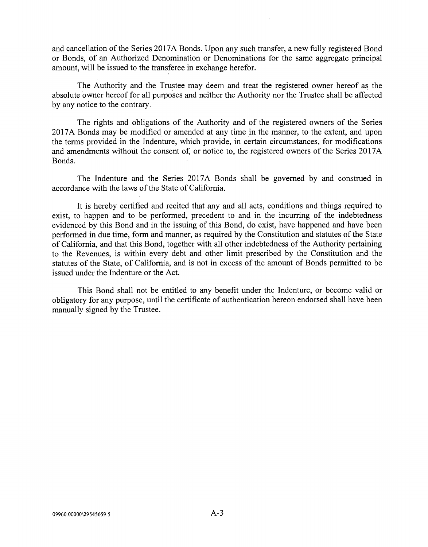and cancellation of the Series 2017A Bonds. Upon any such transfer, a new fully registered Bond or Bonds, of an Authorized Denomination or Denominations for the same aggregate principal amount, will be issued to the transferee in exchange herefor.

The Authority and the Trustee may deem and treat the registered owner hereof as the absolute owner hereof for all purposes and neither the Authority nor the Trustee shall be affected by any notice to the contrary.

The rights and obligations of the Authority and of the registered owners of the Series 2017A Bonds may be modified or amended at any time in the manner, to the extent, and upon the terms provided in the Indenture, which provide, in certain circumstances, for modifications and amendments without the consent of, or notice to, the registered owners of the Series 2017A Bonds.

The Indenture and the Series 2017A Bonds shall be governed by and construed in accordance with the laws of the State of California.

It is hereby certified and recited that any and all acts, conditions and things required to exist, to happen and to be performed, precedent to and in the incurring of the indebtedness evidenced by this Bond and in the issuing of this Bond, do exist, have happened and have been performed in due time, form and manner, as required by the Constitution and statutes of the State of California, and that this Bond, together with all other indebtedness of the Authority pertaining to the Revenues, is within every debt and other limit prescribed by the Constitution and the statutes of the State, of California, and is not in excess of the amount of Bonds permitted to be issued under the Indenture or the Act.

This Bond shall not be entitled to any benefit under the Indenture, or become valid or obligatory for any purpose, until the certificate of authentication hereon endorsed shall have been manually signed by the Trustee.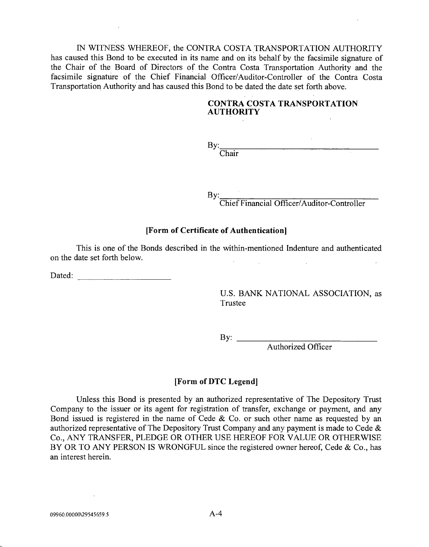IN WITNESS WHEREOF, the CONTRA COSTA TRANSPORTATION AUTHORITY has caused this Bond to be executed in its name and on its behalf by the facsimile signature of the Chair of the Board of Directors of the Contra Costa Transportation Authority and the facsimile signature of the Chief Financial Officer/Auditor-Controller of the Contra Costa Transportation Authority and has caused this Bond to be dated the date set forth above.

### CONTRA COSTA TRANSPORTATION AUTHORITY

By:\_\_\_\_\_ Chair

By:\_\_\_\_\_

Chief Financial Officer/Auditor-Controller

### [Form of Certificate of Authentication]

This is one of the Bonds described in the within -mentioned Indenture and authenticated on the date set forth below.

Dated: when the contract of the contract of the contract of the contract of the contract of the contract of the contract of the contract of the contract of the contract of the contract of the contract of the contract of th

U.S. BANK NATIONAL ASSOCIATION, as Trustee

By: \_\_\_

Authorized Officer

#### [Form of DTC Legend]

Unless this Bond is presented by an authorized representative of The Depository Trust Company to the issuer or its agent for registration of transfer, exchange or payment, and any Bond issued is registered in the name of Cede  $\&$  Co. or such other name as requested by an authorized representative of The Depository Trust Company and any payment is made to Cede  $\&$ Co., ANY TRANSFER, PLEDGE OR OTHER USE HEREOF FOR VALUE OR OTHERWISE BY OR TO ANY PERSON IS WRONGFUL since the registered owner hereof, Cede & Co., has an interest herein.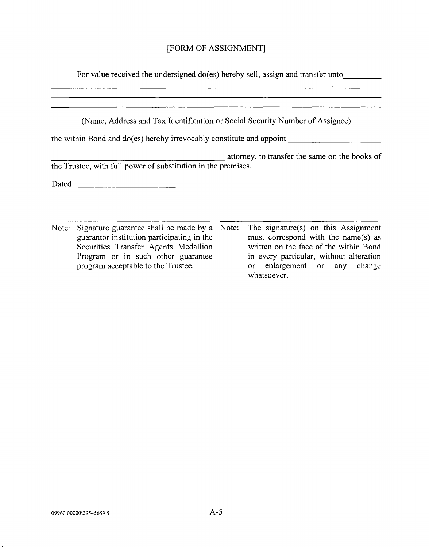# [FORM OF ASSIGNMENT]

For value received the undersigned do(es) hereby sell, assign and transfer unto

(Name, Address and Tax Identification or Social Security Number of Assignee)

the within Bond and do(es) hereby irrevocably constitute and appoint

attorney, to transfer the same on the books of the Trustee, with full power of substitution in the premises.

Dated:

Note: Signature guarantee shall be made by a Note: The signature(s) on this Assignment guarantor institution participating in the Securities Transfer Agents Medallion Program or in such other guarantee program acceptable to the Trustee. must correspond with the name(s) as written on the face of the within Bond in every particular, without alteration or enlargement or any change whatsoever.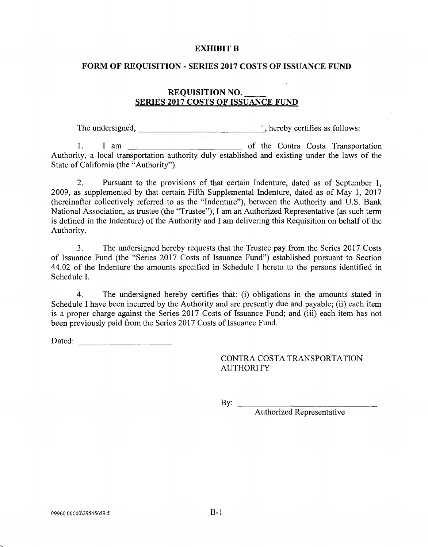#### EXHIBIT B

#### FORM OF REQUISITION - SERIES 2017 COSTS OF ISSUANCE FUND

# REQUISITION NO. SERIES 2017 COSTS OF ISSUANCE FUND

The undersigned, \_\_\_\_\_\_\_\_\_\_\_\_\_\_\_\_\_\_\_\_\_\_\_\_\_\_\_\_\_\_, hereby certifies as follows:

1. I am <u>essent the Contra Costa</u> Transportation Authority, a local transportation authority duly established and existing under the laws of the State of California (the "Authority").

2. Pursuant to the provisions of that certain Indenture, dated as of September 1, 2009, as supplemented by that certain Fifth Supplemental Indenture, dated as of May 1, 2017 (hereinafter collectively referred to as the "Indenture"), between the Authority and U.S. Bank National Association, as trustee (the "Trustee"), I am an Authorized Representative (as such term is defined in the Indenture) of the Authority and I am delivering this Requisition on behalf of the Authority.

3. The undersigned hereby requests that the Trustee pay from the Series 2017 Costs of Issuance Fund (the "Series 2017 Costs of Issuance Fund") established pursuant to Section 44.02 of the Indenture the amounts specified in Schedule I hereto to the persons identified in Schedule I.

4. The undersigned hereby certifies that: (i) obligations in the amounts stated in Schedule I have been incurred by the Authority and are presently due and payable; (ii) each item is a proper charge against the Series 2017 Costs of Issuance Fund; and (iii) each item has not been previously paid from the Series 2017 Costs of Issuance Fund.

Dated: the contract of the contract of the contract of the contract of the contract of the contract of the contract of the contract of the contract of the contract of the contract of the contract of the contract of the con

# CONTRA COSTA TRANSPORTATION AUTHORITY

By:  $\qquad$ 

Authorized Representative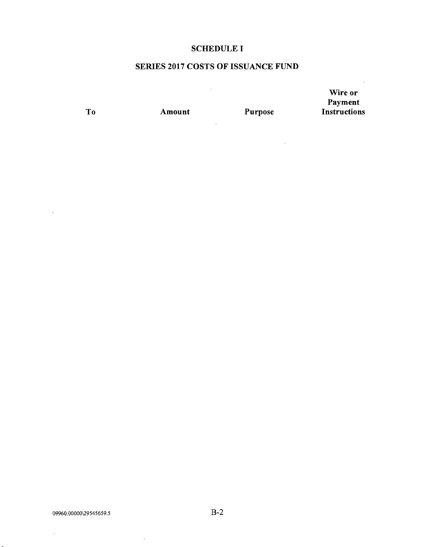# SCHEDULE I

# SERIES 2017 COSTS OF ISSUANCE FUND

 $\sim 10^6$ 

 $\sim$   $\sim$ 

 $\sim 10^{-11}$ 

 $\mathcal{L}^{\text{max}}_{\text{max}}$  and  $\mathcal{L}^{\text{max}}_{\text{max}}$ 

Wire or Payment To Amount Purpose Instructions

 $\sim 10$ 

 $\sim$   $\sim$ 

 $\mathcal{L}^{\pm}$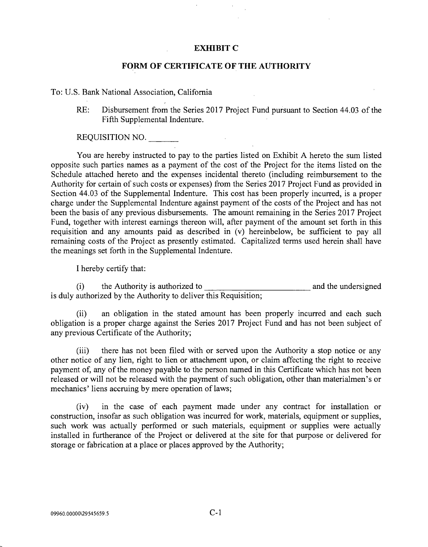#### EXHIBIT C

#### FORM OF CERTIFICATE OF THE AUTHORITY

#### To: U.S. Bank National Association, California

RE: Disbursement from the Series 2017 Project Fund pursuant to Section 44.03 of the Fifth Supplemental Indenture.

REQUISITION NO.

You are hereby instructed to pay to the parties listed on Exhibit A hereto the sum listed opposite such parties names as a payment of the cost of the Project for the items listed on the Schedule attached hereto and the expenses incidental thereto (including reimbursement to the Authority for certain of such costs or expenses) from the Series 2017 Project Fund as provided in Section 44.03 of the Supplemental Indenture. This cost has been properly incurred, is a proper charge under the Supplemental Indenture against payment of the costs of the Project and has not been the basis of any previous disbursements. The amount remaining in the Series 2017 Project Fund, together with interest earnings thereon will, after payment of the amount set forth in this requisition and any amounts paid as described in (v) hereinbelow, be sufficient to pay all remaining costs of the Project as presently estimated. Capitalized terms used herein shall have the meanings set forth in the Supplemental Indenture.

I hereby certify that:

(i) the Authority is authorized to and the undersigned and the undersigned is duly authorized by the Authority to deliver this Requisition;

(ii) an obligation in the stated amount has been properly incurred and each such obligation is a proper charge against the Series 2017 Project Fund and has not been subject of any previous Certificate of the Authority;

(iii) there has not been filed with or served upon the Authority a stop notice or any other notice of any lien, right to lien or attachment upon, or claim affecting the right to receive payment of, any of the money payable to the person named in this Certificate which has not been released or will not be released with the payment of such obligation, other than materialmen's or mechanics' liens accruing by mere operation of laws;

(iv) in the case of each payment made under any contract for installation or construction, insofar as such obligation was incurred for work, materials, equipment or supplies, such work was actually performed or such materials, equipment or supplies were actually installed in furtherance of the Project or delivered at the site for that purpose or delivered for storage or fabrication at a place or places approved by the Authority;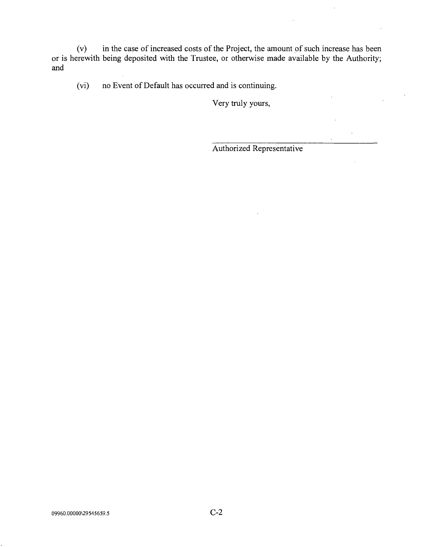(v) in the case of increased costs of the Project, the amount of such increase has been or is herewith being deposited with the Trustee, or otherwise made available by the Authority; and

(vi) no Event of Default has occurred and is continuing.

Very truly yours,

Authorized Representative

 $\bar{z}$ 

 $\bar{r}$